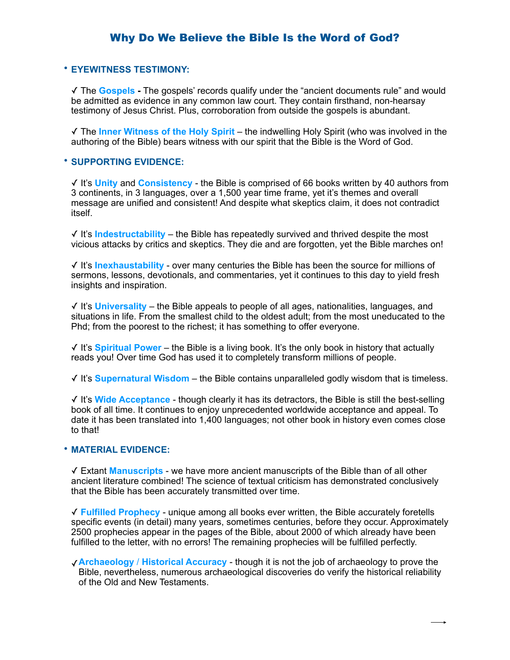### Why Do We Believe the Bible Is the Word of God?

#### • **EYEWITNESS TESTIMONY:**

✓ The **Gospels -** The gospels' records qualify under the "ancient documents rule" and would be admitted as evidence in any common law court. They contain firsthand, non-hearsay testimony of Jesus Christ. Plus, corroboration from outside the gospels is abundant.

✓ The **Inner Witness of the Holy Spirit** – the indwelling Holy Spirit (who was involved in the authoring of the Bible) bears witness with our spirit that the Bible is the Word of God.

#### • **SUPPORTING EVIDENCE:**

✓ It's **Unity** and **Consistency** - the Bible is comprised of 66 books written by 40 authors from 3 continents, in 3 languages, over a 1,500 year time frame, yet it's themes and overall message are unified and consistent! And despite what skeptics claim, it does not contradict itself.

✓ It's **Indestructability** – the Bible has repeatedly survived and thrived despite the most vicious attacks by critics and skeptics. They die and are forgotten, yet the Bible marches on!

✓ It's **Inexhaustability** - over many centuries the Bible has been the source for millions of sermons, lessons, devotionals, and commentaries, yet it continues to this day to yield fresh insights and inspiration.

✓ It's **Universality** – the Bible appeals to people of all ages, nationalities, languages, and situations in life. From the smallest child to the oldest adult; from the most uneducated to the Phd; from the poorest to the richest; it has something to offer everyone.

✓ It's **Spiritual Power** – the Bible is a living book. It's the only book in history that actually reads you! Over time God has used it to completely transform millions of people.

✓ It's **Supernatural Wisdom** – the Bible contains unparalleled godly wisdom that is timeless.

✓ It's **Wide Acceptance** - though clearly it has its detractors, the Bible is still the best-selling book of all time. It continues to enjoy unprecedented worldwide acceptance and appeal. To date it has been translated into 1,400 languages; not other book in history even comes close to that!

#### • **MATERIAL EVIDENCE:**

✓ Extant **Manuscripts** - we have more ancient manuscripts of the Bible than of all other ancient literature combined! The science of textual criticism has demonstrated conclusively that the Bible has been accurately transmitted over time.

✓ **Fulfilled Prophecy** - unique among all books ever written, the Bible accurately foretells specific events (in detail) many years, sometimes centuries, before they occur. Approximately 2500 prophecies appear in the pages of the Bible, about 2000 of which already have been fulfilled to the letter, with no errors! The remaining prophecies will be fulfilled perfectly.

✓**Archaeology** / **Historical Accuracy** - though it is not the job of archaeology to prove the Bible, nevertheless, numerous archaeological discoveries do verify the historical reliability of the Old and [New Testaments.](http://christiananswers.net/dictionary/newtestament.html)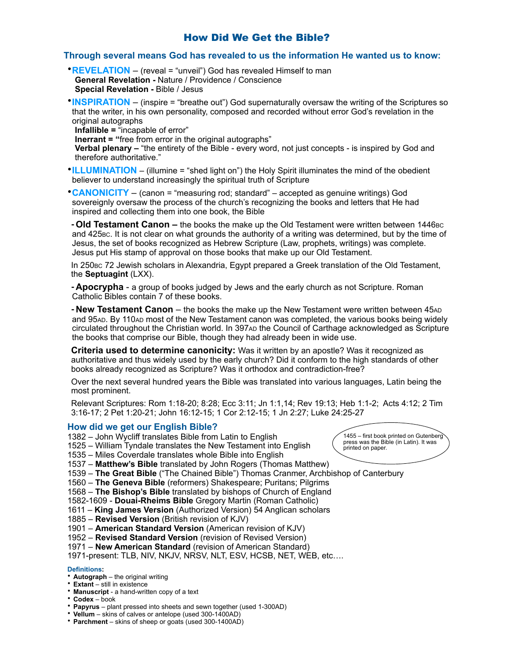### How Did We Get the Bible?

#### **Through several means God has revealed to us the information He wanted us to know:**

- •**REVELATION** (reveal = "unveil") God has revealed Himself to man **General Revelation -** Nature / Providence / Conscience **Special Revelation -** Bible / Jesus
- •**INSPIRATION** (inspire = "breathe out") God supernaturally oversaw the writing of the Scriptures so that the writer, in his own personality, composed and recorded without error God's revelation in the original autographs

**Infallible =** "incapable of error"

**Inerrant = "**free from error in the original autographs"

**Verbal plenary –** "the entirety of the Bible - every word, not just concepts - is inspired by God and therefore authoritative."

•**ILLUMINATION** – (illumine = "shed light on") the Holy Spirit illuminates the mind of the obedient believer to understand increasingly the spiritual truth of Scripture

•**CANONICITY** – (canon = "measuring rod; standard" – accepted as genuine writings) God sovereignly oversaw the process of the church's recognizing the books and letters that He had inspired and collecting them into one book, the Bible

**-Old Testament Canon –** the books the make up the Old Testament were written between 1446BC and 425BC. It is not clear on what grounds the authority of a writing was determined, but by the time of Jesus, the set of books recognized as Hebrew Scripture (Law, prophets, writings) was complete. Jesus put His stamp of approval on those books that make up our Old Testament.

In 250Bc 72 Jewish scholars in Alexandria, Egypt prepared a Greek translation of the Old Testament, the **Septuagint** (LXX).

**-Apocrypha** - a group of books judged by Jews and the early church as not Scripture. Roman Catholic Bibles contain 7 of these books.

**- New Testament Canon** – the books the make up the New Testament were written between 45AD and 95AD. By 110AD most of the New Testament canon was completed, the various books being widely circulated throughout the Christian world. In 397AD the Council of Carthage acknowledged as Scripture the books that comprise our Bible, though they had already been in wide use.

**Criteria used to determine canonicity:** Was it written by an apostle? Was it recognized as authoritative and thus widely used by the early church? Did it conform to the high standards of other books already recognized as Scripture? Was it orthodox and contradiction-free?

Over the next several hundred years the Bible was translated into various languages, Latin being the most prominent.

Relevant Scriptures: Rom 1:18-20; 8:28; Ecc 3:11; Jn 1:1,14; Rev 19:13; Heb 1:1-2; Acts 4:12; 2 Tim 3:16-17; 2 Pet 1:20-21; John 16:12-15; 1 Cor 2:12-15; 1 Jn 2:27; Luke 24:25-27

#### **How did we get our English Bible?**

- 1382 John Wycliff translates Bible from Latin to English
- 1525 William Tyndale translates the New Testament into English
- 1535 Miles Coverdale translates whole Bible into English
- 1537 **Matthew's Bible** translated by John Rogers (Thomas Matthew)
- 1539 **The Great Bible** ("The Chained Bible") Thomas Cranmer, Archbishop of Canterbury
- 1560 **The Geneva Bible** (reformers) Shakespeare; Puritans; Pilgrims
- 1568 **The Bishop's Bible** translated by bishops of Church of England
- 1582-1609 **Douai-Rheims Bible** Gregory Martin (Roman Catholic)
- 1611 **King James Version** (Authorized Version) 54 Anglican scholars
- 1885 **Revised Version** (British revision of KJV)
- 1901 **American Standard Version** (American revision of KJV)
- 1952 **Revised Standard Version** (revision of Revised Version)

1971 – **New American Standard** (revision of American Standard)

1971-present: TLB, NIV, NKJV, NRSV, NLT, ESV, HCSB, NET, WEB, etc….

#### **Definitions:**

- **Autograph** the original writing
- **Extant** still in existence
- **Manuscript** a hand-written copy of a text
- **Codex** book
- **Papyrus**  plant pressed into sheets and sewn together (used 1-300AD)
- **Vellum** skins of calves or antelope (used 300-1400AD)
- **Parchment** skins of sheep or goats (used 300-1400AD)

1455 – first book printed on Gutenberg press was the Bible (in Latin). It was printed on paper.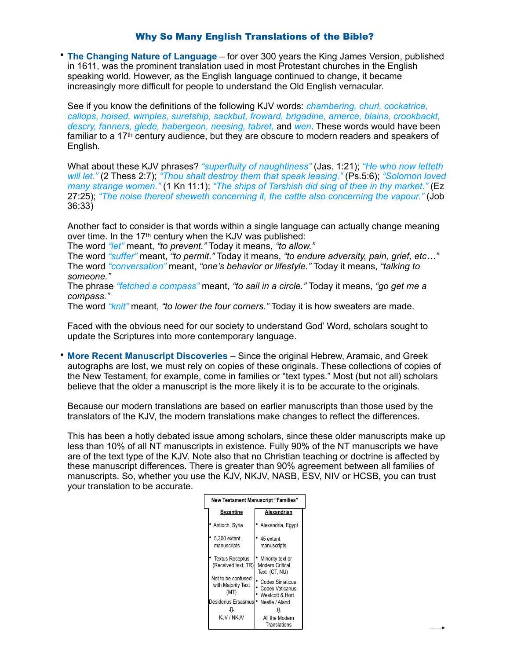### Why So Many English Translations of the Bible?

• **The Changing Nature of Language** – for over 300 years the King James Version, published in 1611, was the prominent translation used in most Protestant churches in the English speaking world. However, as the English language continued to change, it became increasingly more difficult for people to understand the Old English vernacular.

See if you know the definitions of the following KJV words: *chambering, churl, cockatrice, callops, hoised, wimples, suretship, sackbut, froward, brigadine, amerce, blains, crookbackt, descry, fanners, glede, habergeon, neesing, tabret*, and *wen*. These words would have been familiar to a 17th century audience, but they are obscure to modern readers and speakers of English.

What about these KJV phrases? *"superfluity of naughtiness"* (Jas. 1:21); *"He who now letteth will let."* (2 Thess 2:7); *"Thou shalt destroy them that speak leasing."* (Ps.5:6); *"Solomon loved many strange women."* (1 Kn 11:1); *"The ships of Tarshish did sing of thee in thy market."* (Ez 27:25); *"The noise thereof sheweth concerning it, the cattle also concerning the vapour."* (Job 36:33)

Another fact to consider is that words within a single language can actually change meaning over time. In the 17<sup>th</sup> century when the KJV was published:

The word *"let"* meant, *"to prevent."* Today it means, *"to allow."*

The word *"suffer"* meant, *"to permit."* Today it means, *"to endure adversity, pain, grief, etc…"* The word *"conversation"* meant, *"one's behavior or lifestyle."* Today it means, *"talking to someone."*

The phrase *"fetched a compass"* meant, *"to sail in a circle."* Today it means, *"go get me a compass."*

The word *"knit"* meant, *"to lower the four corners."* Today it is how sweaters are made.

Faced with the obvious need for our society to understand God' Word, scholars sought to update the Scriptures into more contemporary language.

• **More Recent Manuscript Discoveries** – Since the original Hebrew, Aramaic, and Greek autographs are lost, we must rely on copies of these originals. These collections of copies of the New Testament, for example, come in families or "text types." Most (but not all) scholars believe that the older a manuscript is the more likely it is to be accurate to the originals.

Because our modern translations are based on earlier manuscripts than those used by the translators of the KJV, the modern translations make changes to reflect the differences.

This has been a hotly debated issue among scholars, since these older manuscripts make up less than 10% of all NT manuscripts in existence. Fully 90% of the NT manuscripts we have are of the text type of the KJV. Note also that no Christian teaching or doctrine is affected by these manuscript differences. There is greater than 90% agreement between all families of manuscripts. So, whether you use the KJV, NKJV, NASB, ESV, NIV or HCSB, you can trust your translation to be accurate.

| <b>New Testament Manuscript "Families"</b> |                                                  |                                                               |
|--------------------------------------------|--------------------------------------------------|---------------------------------------------------------------|
|                                            | Byzantine                                        | Alexandrian                                                   |
|                                            | Antioch, Syria                                   | Alexandria, Eqypt                                             |
|                                            | 5,300 extant<br>manuscripts                      | 45 extant<br>manuscripts                                      |
|                                            | <b>Textus Receptus</b><br>(Received text, TR)    | Minority text or<br>Modern Critical<br>Text (CT, NU)          |
|                                            | Not to be confused<br>with Majority Text<br>(MT) | <b>Codex Siniaticus</b><br>Codex Vaticanus<br>Westcott & Hort |
|                                            | Desiderius Ersasmus                              | Nestle / Aland                                                |
|                                            |                                                  |                                                               |
|                                            | KJV / NKJV                                       | All the Modern<br>Translations                                |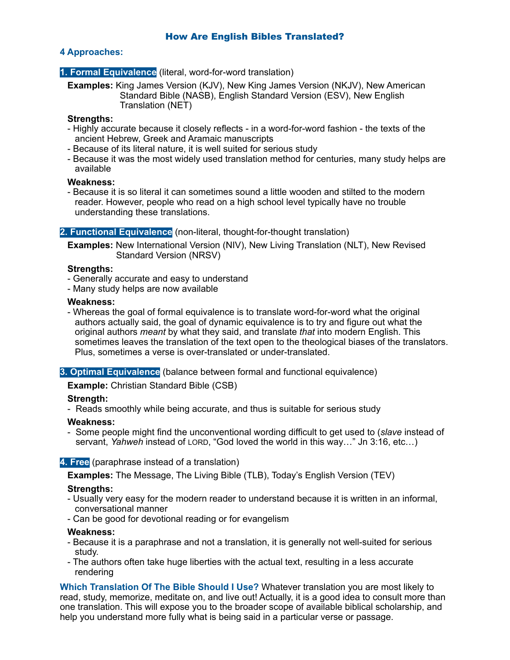### **4 Approaches:**

#### **1. Formal Equivalence** (literal, word-for-word translation)

**Examples:** King James Version (KJV), New King James Version (NKJV), New American Standard Bible (NASB), English Standard Version (ESV), New English Translation (NET)

#### **Strengths:**

- Highly accurate because it closely reflects in a word-for-word fashion the texts of the ancient Hebrew, Greek and Aramaic manuscripts
- Because of its literal nature, it is well suited for serious study
- Because it was the most widely used translation method for centuries, many study helps are available

#### **Weakness:**

- Because it is so literal it can sometimes sound a little wooden and stilted to the modern reader. However, people who read on a high school level typically have no trouble understanding these translations.

#### **2. Functional Equivalence** (non-literal, thought-for-thought translation)

**Examples:** New International Version (NIV), New Living Translation (NLT), New Revised Standard Version (NRSV)

#### **Strengths:**

- Generally accurate and easy to understand
- Many study helps are now available

#### **Weakness:**

- Whereas the goal of formal equivalence is to translate word-for-word what the original authors actually said, the goal of dynamic equivalence is to try and figure out what the original authors *meant* by what they said, and translate *that* into modern English. This sometimes leaves the translation of the text open to the theological biases of the translators. Plus, sometimes a verse is over-translated or under-translated.

#### **3. Optimal Equivalence** (balance between formal and functional equivalence)

**Example:** Christian Standard Bible (CSB)

#### **Strength:**

- Reads smoothly while being accurate, and thus is suitable for serious study

#### **Weakness:**

- Some people might find the unconventional wording difficult to get used to (*slave* instead of servant, *Yahweh* instead of LORD, "God loved the world in this way…" Jn 3:16, etc…)

### **4. Free** (paraphrase instead of a translation)

**Examples:** The Message, The Living Bible (TLB), Today's English Version (TEV)

### **Strengths:**

- Usually very easy for the modern reader to understand because it is written in an informal, conversational manner
- Can be good for devotional reading or for evangelism

#### **Weakness:**

- Because it is a paraphrase and not a translation, it is generally not well-suited for serious study.
- The authors often take huge liberties with the actual text, resulting in a less accurate rendering

**Which Translation Of The Bible Should I Use?** Whatever translation you are most likely to read, study, memorize, meditate on, and live out! Actually, it is a good idea to consult more than one translation. This will expose you to the broader scope of available biblical scholarship, and help you understand more fully what is being said in a particular verse or passage.